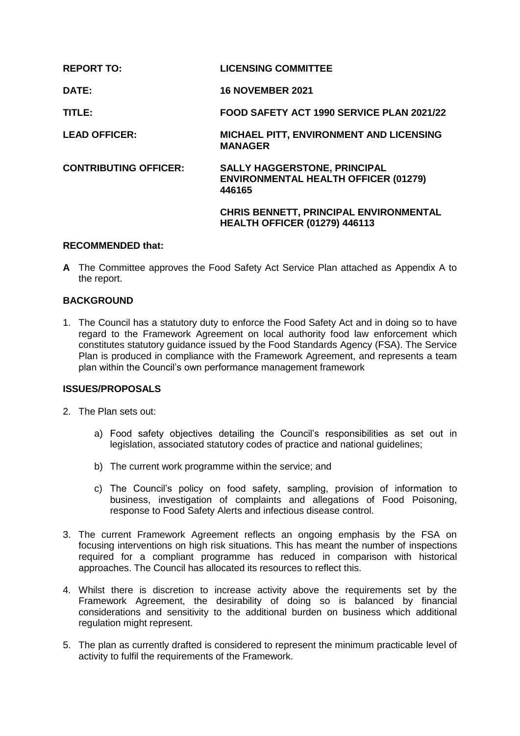| <b>REPORT TO:</b>            | <b>LICENSING COMMITTEE</b>                                                                   |
|------------------------------|----------------------------------------------------------------------------------------------|
| DATE:                        | <b>16 NOVEMBER 2021</b>                                                                      |
| TITLE:                       | FOOD SAFETY ACT 1990 SERVICE PLAN 2021/22                                                    |
| <b>LEAD OFFICER:</b>         | <b>MICHAEL PITT, ENVIRONMENT AND LICENSING</b><br><b>MANAGER</b>                             |
| <b>CONTRIBUTING OFFICER:</b> | <b>SALLY HAGGERSTONE, PRINCIPAL</b><br><b>ENVIRONMENTAL HEALTH OFFICER (01279)</b><br>446165 |
|                              | <b>CHRIS BENNETT, PRINCIPAL ENVIRONMENTAL</b><br><b>HEALTH OFFICER (01279) 446113</b>        |

## **RECOMMENDED that:**

**A** The Committee approves the Food Safety Act Service Plan attached as Appendix A to the report.

# **BACKGROUND**

1. The Council has a statutory duty to enforce the Food Safety Act and in doing so to have regard to the Framework Agreement on local authority food law enforcement which constitutes statutory guidance issued by the Food Standards Agency (FSA). The Service Plan is produced in compliance with the Framework Agreement, and represents a team plan within the Council's own performance management framework

# **ISSUES/PROPOSALS**

- 2. The Plan sets out:
	- a) Food safety objectives detailing the Council's responsibilities as set out in legislation, associated statutory codes of practice and national guidelines;
	- b) The current work programme within the service; and
	- c) The Council's policy on food safety, sampling, provision of information to business, investigation of complaints and allegations of Food Poisoning, response to Food Safety Alerts and infectious disease control.
- 3. The current Framework Agreement reflects an ongoing emphasis by the FSA on focusing interventions on high risk situations. This has meant the number of inspections required for a compliant programme has reduced in comparison with historical approaches. The Council has allocated its resources to reflect this.
- 4. Whilst there is discretion to increase activity above the requirements set by the Framework Agreement, the desirability of doing so is balanced by financial considerations and sensitivity to the additional burden on business which additional regulation might represent.
- 5. The plan as currently drafted is considered to represent the minimum practicable level of activity to fulfil the requirements of the Framework.